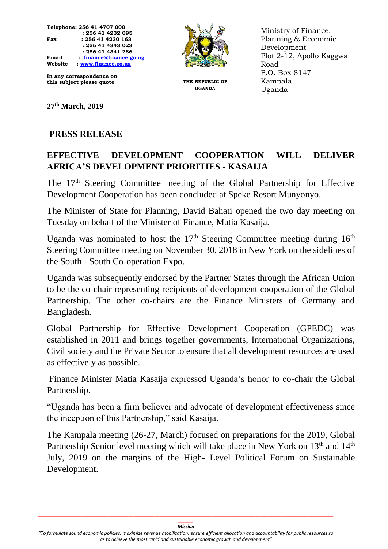

**In any correspondence on this subject please quote THE REPUBLIC OF** 

**27th March, 2019**

## **PRESS RELEASE**

## **EFFECTIVE DEVELOPMENT COOPERATION WILL DELIVER AFRICA'S DEVELOPMENT PRIORITIES - KASAIJA**

The 17<sup>th</sup> Steering Committee meeting of the Global Partnership for Effective Development Cooperation has been concluded at Speke Resort Munyonyo.

The Minister of State for Planning, David Bahati opened the two day meeting on Tuesday on behalf of the Minister of Finance, Matia Kasaija.

Uganda was nominated to host the  $17<sup>th</sup>$  Steering Committee meeting during  $16<sup>th</sup>$ Steering Committee meeting on November 30, 2018 in New York on the sidelines of the South - South Co-operation Expo.

Uganda was subsequently endorsed by the Partner States through the African Union to be the co-chair representing recipients of development cooperation of the Global Partnership. The other co-chairs are the Finance Ministers of Germany and Bangladesh.

Global Partnership for Effective Development Cooperation (GPEDC) was established in 2011 and brings together governments, International Organizations, Civil society and the Private Sector to ensure that all development resources are used as effectively as possible.

Finance Minister Matia Kasaija expressed Uganda's honor to co-chair the Global Partnership.

"Uganda has been a firm believer and advocate of development effectiveness since the inception of this Partnership," said Kasaija.

The Kampala meeting (26-27, March) focused on preparations for the 2019, Global Partnership Senior level meeting which will take place in New York on 13<sup>th</sup> and 14<sup>th</sup> July, 2019 on the margins of the High- Level Political Forum on Sustainable Development.

**UGANDA**

Ministry of Finance, Planning & Economic Development Plot 2-12, Apollo Kaggwa Road P.O. Box 8147 Kampala Uganda

*\_\_\_\_\_\_\_\_\_\_\_\_\_\_\_\_\_\_\_\_\_\_\_\_\_\_\_\_\_\_\_\_\_\_\_\_\_\_\_\_\_\_\_\_\_\_\_\_\_\_\_\_\_\_\_\_\_\_\_\_\_\_\_\_\_\_\_\_\_\_\_\_\_\_\_\_\_\_\_\_\_\_\_\_\_\_\_\_\_\_\_\_\_\_\_\_\_\_\_\_\_\_\_\_\_\_\_\_\_\_\_\_\_\_ \_\_\_\_\_\_ Mission*